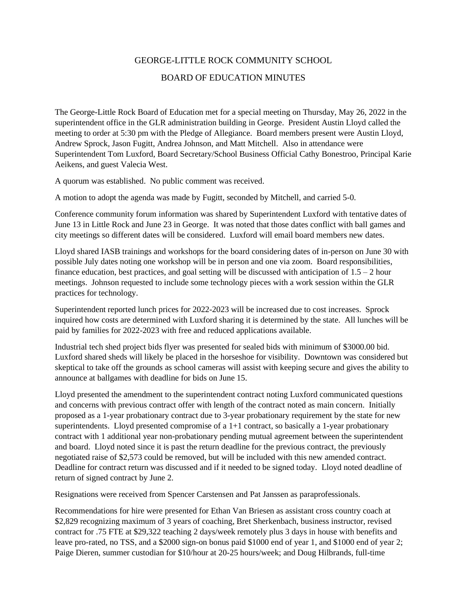## GEORGE-LITTLE ROCK COMMUNITY SCHOOL BOARD OF EDUCATION MINUTES

The George-Little Rock Board of Education met for a special meeting on Thursday, May 26, 2022 in the superintendent office in the GLR administration building in George. President Austin Lloyd called the meeting to order at 5:30 pm with the Pledge of Allegiance. Board members present were Austin Lloyd, Andrew Sprock, Jason Fugitt, Andrea Johnson, and Matt Mitchell. Also in attendance were Superintendent Tom Luxford, Board Secretary/School Business Official Cathy Bonestroo, Principal Karie Aeikens, and guest Valecia West.

A quorum was established. No public comment was received.

A motion to adopt the agenda was made by Fugitt, seconded by Mitchell, and carried 5-0.

Conference community forum information was shared by Superintendent Luxford with tentative dates of June 13 in Little Rock and June 23 in George. It was noted that those dates conflict with ball games and city meetings so different dates will be considered. Luxford will email board members new dates.

Lloyd shared IASB trainings and workshops for the board considering dates of in-person on June 30 with possible July dates noting one workshop will be in person and one via zoom. Board responsibilities, finance education, best practices, and goal setting will be discussed with anticipation of  $1.5 - 2$  hour meetings. Johnson requested to include some technology pieces with a work session within the GLR practices for technology.

Superintendent reported lunch prices for 2022-2023 will be increased due to cost increases. Sprock inquired how costs are determined with Luxford sharing it is determined by the state. All lunches will be paid by families for 2022-2023 with free and reduced applications available.

Industrial tech shed project bids flyer was presented for sealed bids with minimum of \$3000.00 bid. Luxford shared sheds will likely be placed in the horseshoe for visibility. Downtown was considered but skeptical to take off the grounds as school cameras will assist with keeping secure and gives the ability to announce at ballgames with deadline for bids on June 15.

Lloyd presented the amendment to the superintendent contract noting Luxford communicated questions and concerns with previous contract offer with length of the contract noted as main concern. Initially proposed as a 1-year probationary contract due to 3-year probationary requirement by the state for new superintendents. Lloyd presented compromise of a  $1+1$  contract, so basically a 1-year probationary contract with 1 additional year non-probationary pending mutual agreement between the superintendent and board. Lloyd noted since it is past the return deadline for the previous contract, the previously negotiated raise of \$2,573 could be removed, but will be included with this new amended contract. Deadline for contract return was discussed and if it needed to be signed today. Lloyd noted deadline of return of signed contract by June 2.

Resignations were received from Spencer Carstensen and Pat Janssen as paraprofessionals.

Recommendations for hire were presented for Ethan Van Briesen as assistant cross country coach at \$2,829 recognizing maximum of 3 years of coaching, Bret Sherkenbach, business instructor, revised contract for .75 FTE at \$29,322 teaching 2 days/week remotely plus 3 days in house with benefits and leave pro-rated, no TSS, and a \$2000 sign-on bonus paid \$1000 end of year 1, and \$1000 end of year 2; Paige Dieren, summer custodian for \$10/hour at 20-25 hours/week; and Doug Hilbrands, full-time